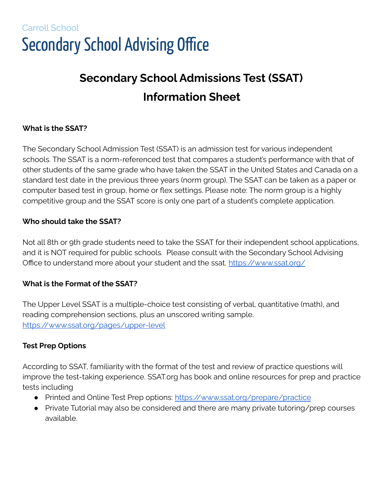# Carroll School **Secondary School Advising Office**

# **Secondary School Admissions Test (SSAT) Information Sheet**

## **What is the SSAT?**

The Secondary School Admission Test (SSAT) is an admission test for various independent schools. The SSAT is a norm-referenced test that compares a student's performance with that of other students of the same grade who have taken the SSAT in the United States and Canada on a standard test date in the previous three years (norm group). The SSAT can be taken as a paper or computer based test in group, home or flex settings. Please note: The norm group is a highly competitive group and the SSAT score is only one part of a student's complete application.

#### **Who should take the SSAT?**

Not all 8th or 9th grade students need to take the SSAT for their independent school applications, and it is NOT required for public schools. Please consult with the Secondary School Advising Office to understand more about your student and the ssat. <https://www.ssat.org/>

### **What is the Format of the SSAT?**

The Upper Level SSAT is a multiple-choice test consisting of verbal, quantitative (math), and reading comprehension sections, plus an unscored writing sample. <https://www.ssat.org/pages/upper-level>

### **Test Prep Options**

According to SSAT, familiarity with the format of the test and review of practice questions will improve the test-taking experience. SSAT.org has book and online resources for prep and practice tests including

- Printed and Online Test Prep options: <https://www.ssat.org/prepare/practice>
- Private Tutorial may also be considered and there are many private tutoring/prep courses available.